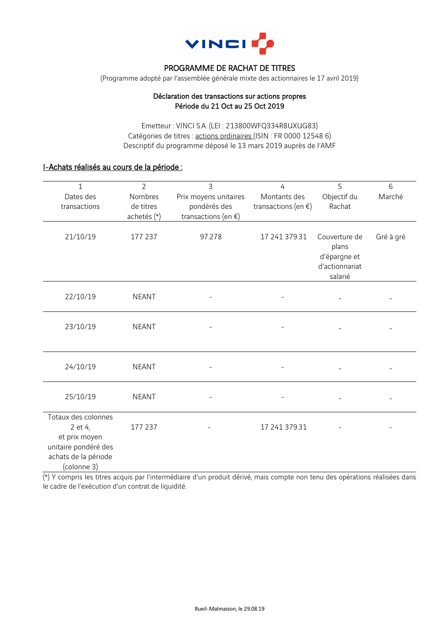

# PROGRAMME DE RACHAT DE TITRES

(Programme adopté par l'assemblée générale mixte des actionnaires le 17 avril 2019)

#### Déclaration des transactions sur actions propres Période du 21 Oct au 25 Oct 2019

Emetteur : VINCI S.A. (LEI : 213800WFQ334R8UXUG83) Catégories de titres : actions ordinaires (ISIN : FR 0000 12548 6) Descriptif du programme déposé le 13 mars 2019 auprès de l'AMF

# I-Achats réalisés au cours de la période :

| 1<br>Dates des<br>transactions                                                                                 | $\overline{2}$<br>Nombres<br>de titres<br>achetés (*) | $\overline{3}$<br>Prix moyens unitaires<br>pondérés des<br>transactions (en $\xi$ ) | $\overline{4}$<br>Montants des<br>transactions (en $\xi$ ) | 5<br>Objectif du<br>Rachat                                          | 6<br>Marché |
|----------------------------------------------------------------------------------------------------------------|-------------------------------------------------------|-------------------------------------------------------------------------------------|------------------------------------------------------------|---------------------------------------------------------------------|-------------|
| 21/10/19                                                                                                       | 177 237                                               | 97.278                                                                              | 17 241 379.31                                              | Couverture de<br>plans<br>d'épargne et<br>d'actionnariat<br>salarié | Gré à gré   |
| 22/10/19                                                                                                       | <b>NEANT</b>                                          |                                                                                     |                                                            |                                                                     |             |
| 23/10/19                                                                                                       | <b>NEANT</b>                                          |                                                                                     |                                                            |                                                                     |             |
| 24/10/19                                                                                                       | <b>NEANT</b>                                          |                                                                                     |                                                            |                                                                     |             |
| 25/10/19                                                                                                       | <b>NEANT</b>                                          |                                                                                     |                                                            |                                                                     |             |
| Totaux des colonnes<br>2 et 4,<br>et prix moyen<br>unitaire pondéré des<br>achats de la période<br>(colonne 3) | 177 237                                               |                                                                                     | 17 241 379.31                                              |                                                                     |             |

(\*) Y compris les titres acquis par l'intermédiaire d'un produit dérivé, mais compte non tenu des opérations réalisées dans le cadre de l'exécution d'un contrat de liquidité.